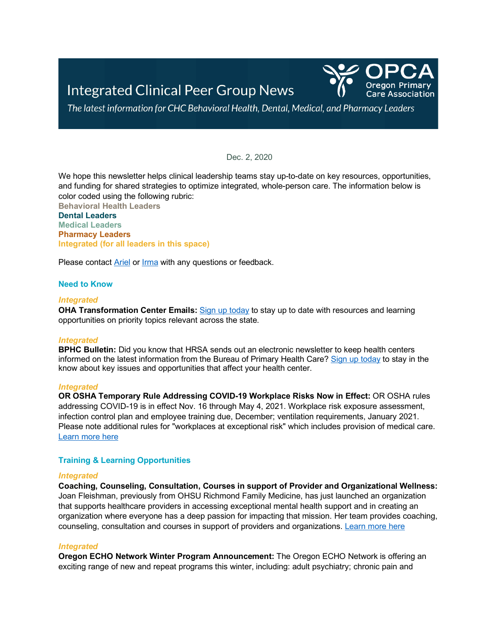

The latest information for CHC Behavioral Health, Dental, Medical, and Pharmacy Leaders

Dec. 2, 2020

We hope this newsletter helps clinical leadership teams stay up-to-date on key resources, opportunities, and funding for shared strategies to optimize integrated, whole-person care. The information below is color coded using the following rubric:

**Behavioral Health Leaders Dental Leaders Medical Leaders Pharmacy Leaders Integrated (for all leaders in this space)**

Please contact [Ariel](mailto:asinger@orpca.org) or [Irma](mailto:imurauskas@orpca.org) with any questions or feedback.

### **Need to Know**

#### *Integrated*

**OHA Transformation Center Emails:** [Sign up today](https://www.surveymonkey.com/r/OHATransformationCenterTA) to stay up to date with resources and learning opportunities on priority topics relevant across the state.

#### *Integrated*

**BPHC Bulletin:** Did you know that HRSA sends out an electronic newsletter to keep health centers informed on the latest information from the Bureau of Primary Health Care[? Sign up today](https://public.govdelivery.com/accounts/USHHSHRSA/subscriber/new?topic_id=ENEWS) to stay in the know about key issues and opportunities that affect your health center.

#### *Integrated*

**OR OSHA Temporary Rule Addressing COVID-19 Workplace Risks Now in Effect:** OR OSHA rules addressing COVID-19 is in effect Nov. 16 through May 4, 2021. Workplace risk exposure assessment, infection control plan and employee training due, December; ventilation requirements, January 2021. Please note additional rules for "workplaces at exceptional risk" which includes provision of medical care. [Learn more here](https://osha.oregon.gov/OSHARules/div1/437-001-0744.pdf)

### **Training & Learning Opportunities**

#### *Integrated*

**Coaching, Counseling, Consultation, Courses in support of Provider and Organizational Wellness:** Joan Fleishman, previously from OHSU Richmond Family Medicine, has just launched an organization that supports healthcare providers in accessing exceptional mental health support and in creating an organization where everyone has a deep passion for impacting that mission. Her team provides coaching, counseling, consultation and courses in support of providers and organizations. [Learn more here](https://tend.health/)

#### *Integrated*

**Oregon ECHO Network Winter Program Announcement:** The Oregon ECHO Network is offering an exciting range of new and repeat programs this winter, including: adult psychiatry; chronic pain and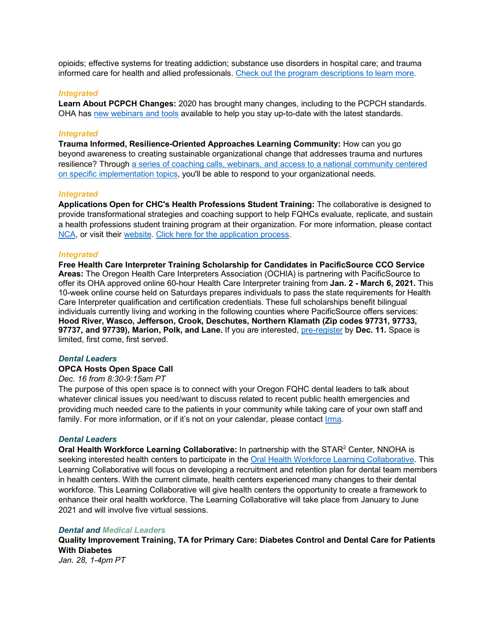opioids; effective systems for treating addiction; substance use disorders in hospital care; and trauma informed care for health and allied professionals. [Check out the program descriptions to learn more.](https://www.oregon.gov/oha/HPA/dsi-tc/Documents/Winter%202021%20Program%20Guide.pdf)

### *Integrated*

**Learn About PCPCH Changes:** 2020 has brought many changes, including to the PCPCH standards. OHA has [new webinars and tools](https://www.oregon.gov/oha/HPA/dsi-pcpch/Pages/Resources-Technical-Assistance.aspx) available to help you stay up-to-date with the latest standards.

# *Integrated*

**Trauma Informed, Resilience-Oriented Approaches Learning Community:** How can you go beyond awareness to creating sustainable organizational change that addresses trauma and nurtures resilience? Through a series of coaching calls, webinars, [and access to a national community centered](https://www.thenationalcouncil.org/wp-content/uploads/2020/10/TIROC_RFA-1-1.pdf?daf=375ateTbd56)  [on specific implementation topics,](https://www.thenationalcouncil.org/wp-content/uploads/2020/10/TIROC_RFA-1-1.pdf?daf=375ateTbd56) you'll be able to respond to your organizational needs.

#### *Integrated*

**Applications Open for CHC's Health Professions Student Training:** The collaborative is designed to provide transformational strategies and coaching support to help FQHCs evaluate, replicate, and sustain a health professions student training program at their organization. For more information, please contact [NCA,](mailto:nca@chc1) or visit thei[r website.](http://www.chc1.com/nca) [Click here for the application process.](https://www.regpack.com/reg/templates/build/?g_id=100906407&utm_source=Workforce+Development+NCA+Announcments&utm_campaign=c415a73953-learn-collaborative-HPS-11-18&utm_medium=email&utm_term=0_44e71a91e9-c415a73953-91800533)

#### *Integrated*

**Free Health Care Interpreter Training Scholarship for Candidates in PacificSource CCO Service Areas:** The Oregon Health Care Interpreters Association (OCHIA) is partnering with PacificSource to offer its OHA approved online 60-hour Health Care Interpreter training from **Jan. 2 - March 6, 2021.** This 10-week online course held on Saturdays prepares individuals to pass the state requirements for Health Care Interpreter qualification and certification credentials. These full scholarships benefit bilingual individuals currently living and working in the following counties where PacificSource offers services: **Hood River, Wasco, Jefferson, Crook, Deschutes, Northern Klamath (Zip codes 97731, 97733, 97737, and 97739), Marion, Polk, and Lane.** If you are interested, [pre-register](http://ohcia.org/pacificsource) by **Dec. 11.** Space is limited, first come, first served.

#### *Dental Leaders*

## **OPCA Hosts Open Space Call**

# *Dec. 16 from 8:30-9:15am PT*

The purpose of this open space is to connect with your Oregon FQHC dental leaders to talk about whatever clinical issues you need/want to discuss related to recent public health emergencies and providing much needed care to the patients in your community while taking care of your own staff and family. For more information, or if it's not on your calendar, please contact *Irma*.

#### *Dental Leaders*

**Oral Health Workforce Learning Collaborative:** In partnership with the STAR<sup>2</sup> Center, NNOHA is seeking interested health centers to participate in the [Oral Health Workforce Learning Collaborative.](https://docs.google.com/forms/d/e/1FAIpQLSdVbPGedU6wolPLt3drKYMVv3z7Ex8fD1cypgG6gjLi0ENv1g/viewform) This Learning Collaborative will focus on developing a recruitment and retention plan for dental team members in health centers. With the current climate, health centers experienced many changes to their dental workforce. This Learning Collaborative will give health centers the opportunity to create a framework to enhance their oral health workforce. The Learning Collaborative will take place from January to June 2021 and will involve five virtual sessions.

### *Dental and Medical Leaders*

**Quality Improvement Training, TA for Primary Care: Diabetes Control and Dental Care for Patients With Diabetes**

*Jan. 28, 1-4pm PT*